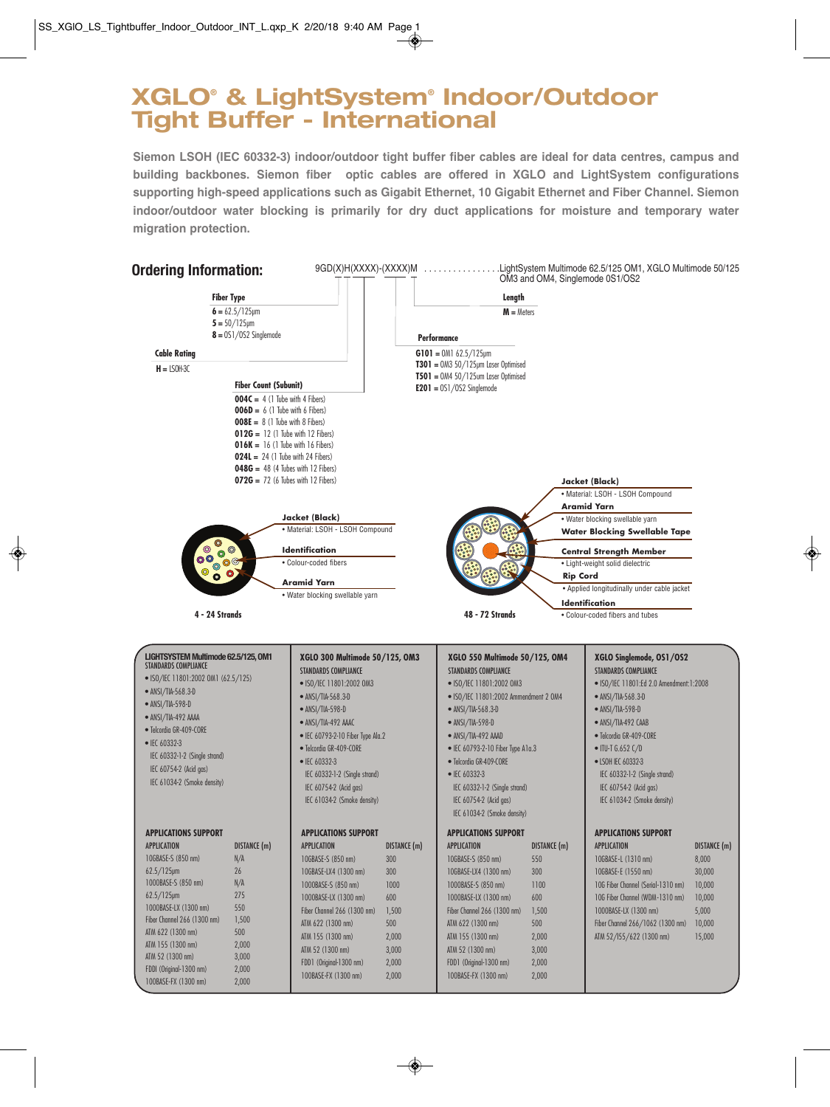# **XGLO® & LightSystem® Indoor/Outdoor Tight Buffer - International**

**Siemon LSOH (IEC 60332-3) indoor/outdoor tight buffer fiber cables are ideal for data centres, campus and building backbones. Siemon fiber optic cables are offered in XGLO and LightSystem configurations supporting high-speed applications such as Gigabit Ethernet, 10 Gigabit Ethernet and Fiber Channel. Siemon indoor/outdoor water blocking is primarily for dry duct applications for moisture and temporary water migration protection.**